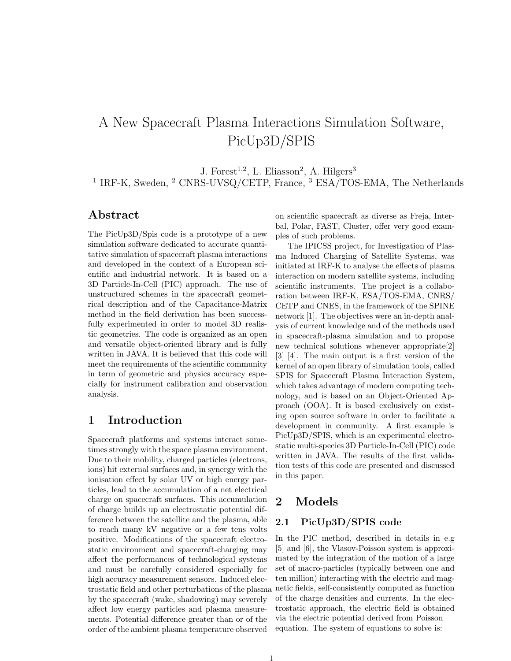# A New Spacecraft Plasma Interactions Simulation Software, PicUp3D/SPIS

J. Forest<sup>1,2</sup>, L. Eliasson<sup>2</sup>, A. Hilgers<sup>3</sup>

<sup>1</sup> IRF-K, Sweden, <sup>2</sup> CNRS-UVSQ/CETP, France, <sup>3</sup> ESA/TOS-EMA, The Netherlands

## Abstract

The PicUp3D/Spis code is a prototype of a new simulation software dedicated to accurate quantitative simulation of spacecraft plasma interactions and developed in the context of a European scientific and industrial network. It is based on a 3D Particle-In-Cell (PIC) approach. The use of unstructured schemes in the spacecraft geometrical description and of the Capacitance-Matrix method in the field derivation has been successfully experimented in order to model 3D realistic geometries. The code is organized as an open and versatile object-oriented library and is fully written in JAVA. It is believed that this code will meet the requirements of the scientific community in term of geometric and physics accuracy especially for instrument calibration and observation analysis.

## 1 Introduction

Spacecraft platforms and systems interact sometimes strongly with the space plasma environment. Due to their mobility, charged particles (electrons, ions) hit external surfaces and, in synergy with the ionisation effect by solar UV or high energy particles, lead to the accumulation of a net electrical charge on spacecraft surfaces. This accumulation of charge builds up an electrostatic potential difference between the satellite and the plasma, able to reach many kV negative or a few tens volts positive. Modifications of the spacecraft electrostatic environment and spacecraft-charging may affect the performances of technological systems and must be carefully considered especially for high accuracy measurement sensors. Induced electrostatic field and other perturbations of the plasma by the spacecraft (wake, shadowing) may severely affect low energy particles and plasma measurements. Potential difference greater than or of the order of the ambient plasma temperature observed

on scientific spacecraft as diverse as Freja, Interbal, Polar, FAST, Cluster, offer very good examples of such problems.

The IPICSS project, for Investigation of Plasma Induced Charging of Satellite Systems, was initiated at IRF-K to analyse the effects of plasma interaction on modern satellite systems, including scientific instruments. The project is a collaboration between IRF-K, ESA/TOS-EMA, CNRS/ CETP and CNES, in the framework of the SPINE network [1]. The objectives were an in-depth analysis of current knowledge and of the methods used in spacecraft-plasma simulation and to propose new technical solutions whenever appropriate[2] [3] [4]. The main output is a first version of the kernel of an open library of simulation tools, called SPIS for Spacecraft Plasma Interaction System, which takes advantage of modern computing technology, and is based on an Object-Oriented Approach (OOA). It is based exclusively on existing open source software in order to facilitate a development in community. A first example is PicUp3D/SPIS, which is an experimental electrostatic multi-species 3D Particle-In-Cell (PIC) code written in JAVA. The results of the first validation tests of this code are presented and discussed in this paper.

# 2 Models

## 2.1 PicUp3D/SPIS code

In the PIC method, described in details in e.g [5] and [6], the Vlasov-Poisson system is approximated by the integration of the motion of a large set of macro-particles (typically between one and ten million) interacting with the electric and magnetic fields, self-consistently computed as function of the charge densities and currents. In the electrostatic approach, the electric field is obtained via the electric potential derived from Poisson equation. The system of equations to solve is: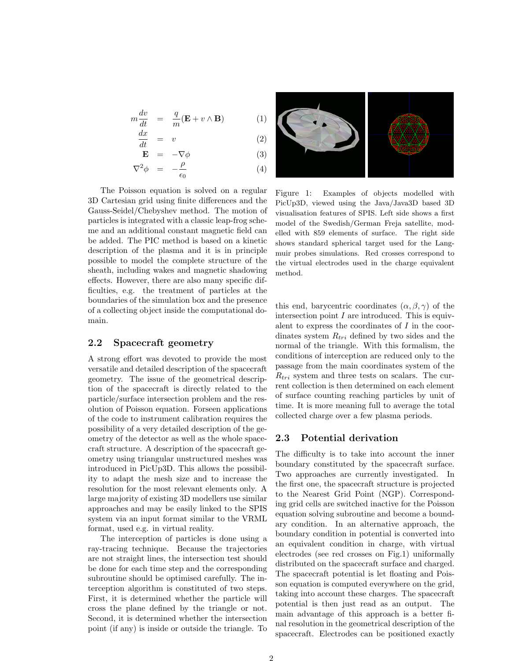$$
m\frac{dv}{dt} = \frac{q}{m}(\mathbf{E} + v \wedge \mathbf{B})
$$
  
dx

$$
\frac{dx}{dt} = v \tag{2}
$$

$$
\mathbf{E} = -\nabla \phi \tag{3}
$$

$$
\nabla^2 \phi = -\frac{\rho}{\epsilon_0} \tag{4}
$$

The Poisson equation is solved on a regular 3D Cartesian grid using finite differences and the Gauss-Seidel/Chebyshev method. The motion of particles is integrated with a classic leap-frog scheme and an additional constant magnetic field can be added. The PIC method is based on a kinetic description of the plasma and it is in principle possible to model the complete structure of the sheath, including wakes and magnetic shadowing effects. However, there are also many specific difficulties, e.g. the treatment of particles at the boundaries of the simulation box and the presence of a collecting object inside the computational domain.

## 2.2 Spacecraft geometry

A strong effort was devoted to provide the most versatile and detailed description of the spacecraft geometry. The issue of the geometrical description of the spacecraft is directly related to the particle/surface intersection problem and the resolution of Poisson equation. Forseen applications of the code to instrument calibration requires the possibility of a very detailed description of the geometry of the detector as well as the whole spacecraft structure. A description of the spacecraft geometry using triangular unstructured meshes was introduced in PicUp3D. This allows the possibility to adapt the mesh size and to increase the resolution for the most relevant elements only. A large majority of existing 3D modellers use similar approaches and may be easily linked to the SPIS system via an input format similar to the VRML format, used e.g. in virtual reality.

The interception of particles is done using a ray-tracing technique. Because the trajectories are not straight lines, the intersection test should be done for each time step and the corresponding subroutine should be optimised carefully. The interception algorithm is constituted of two steps. First, it is determined whether the particle will cross the plane defined by the triangle or not. Second, it is determined whether the intersection point (if any) is inside or outside the triangle. To



Figure 1: Examples of objects modelled with PicUp3D, viewed using the Java/Java3D based 3D visualisation features of SPIS. Left side shows a first model of the Swedish/German Freja satellite, modelled with 859 elements of surface. The right side shows standard spherical target used for the Langmuir probes simulations. Red crosses correspond to the virtual electrodes used in the charge equivalent method.

this end, barycentric coordinates  $(\alpha, \beta, \gamma)$  of the intersection point  $I$  are introduced. This is equivalent to express the coordinates of  $I$  in the coordinates system  $R_{tri}$  defined by two sides and the normal of the triangle. With this formalism, the conditions of interception are reduced only to the passage from the main coordinates system of the  $R_{tri}$  system and three tests on scalars. The current collection is then determined on each element of surface counting reaching particles by unit of time. It is more meaning full to average the total collected charge over a few plasma periods.

## 2.3 Potential derivation

The difficulty is to take into account the inner boundary constituted by the spacecraft surface. Two approaches are currently investigated. In the first one, the spacecraft structure is projected to the Nearest Grid Point (NGP). Corresponding grid cells are switched inactive for the Poisson equation solving subroutine and become a boundary condition. In an alternative approach, the boundary condition in potential is converted into an equivalent condition in charge, with virtual electrodes (see red crosses on Fig.1) uniformally distributed on the spacecraft surface and charged. The spacecraft potential is let floating and Poisson equation is computed everywhere on the grid, taking into account these charges. The spacecraft potential is then just read as an output. The main advantage of this approach is a better final resolution in the geometrical description of the spacecraft. Electrodes can be positioned exactly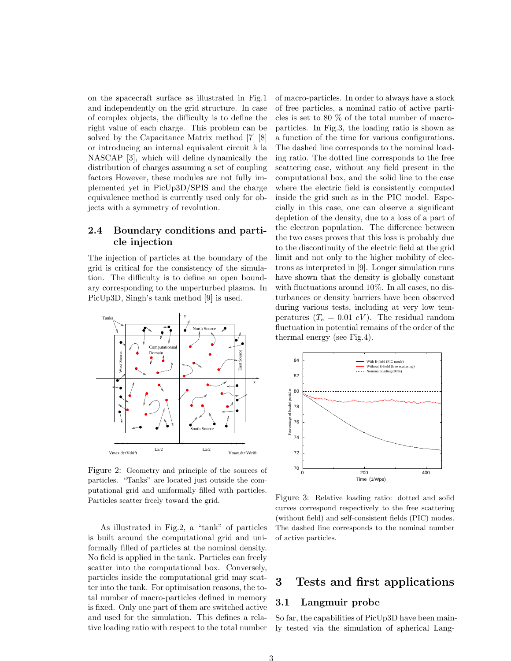on the spacecraft surface as illustrated in Fig.1 and independently on the grid structure. In case of complex objects, the difficulty is to define the right value of each charge. This problem can be solved by the Capacitance Matrix method [7] [8] or introducing an internal equivalent circuit `a la NASCAP [3], which will define dynamically the distribution of charges assuming a set of coupling factors However, these modules are not fully implemented yet in PicUp3D/SPIS and the charge equivalence method is currently used only for objects with a symmetry of revolution.

## 2.4 Boundary conditions and particle injection

The injection of particles at the boundary of the grid is critical for the consistency of the simulation. The difficulty is to define an open boundary corresponding to the unperturbed plasma. In PicUp3D, Singh's tank method [9] is used.



Figure 2: Geometry and principle of the sources of particles. "Tanks" are located just outside the computational grid and uniformally filled with particles. Particles scatter freely toward the grid.

As illustrated in Fig.2, a "tank" of particles is built around the computational grid and uniformally filled of particles at the nominal density. No field is applied in the tank. Particles can freely scatter into the computational box. Conversely, particles inside the computational grid may scatter into the tank. For optimisation reasons, the total number of macro-particles defined in memory is fixed. Only one part of them are switched active and used for the simulation. This defines a relative loading ratio with respect to the total number

of macro-particles. In order to always have a stock of free particles, a nominal ratio of active particles is set to 80 % of the total number of macroparticles. In Fig.3, the loading ratio is shown as a function of the time for various configurations. The dashed line corresponds to the nominal loading ratio. The dotted line corresponds to the free scattering case, without any field present in the computational box, and the solid line to the case where the electric field is consistently computed inside the grid such as in the PIC model. Especially in this case, one can observe a significant depletion of the density, due to a loss of a part of the electron population. The difference between the two cases proves that this loss is probably due to the discontinuity of the electric field at the grid limit and not only to the higher mobility of electrons as interpreted in [9]. Longer simulation runs have shown that the density is globally constant with fluctuations around 10%. In all cases, no disturbances or density barriers have been observed during various tests, including at very low temperatures  $(T_e = 0.01 \text{ eV})$ . The residual random fluctuation in potential remains of the order of the thermal energy (see Fig.4).



Figure 3: Relative loading ratio: dotted and solid curves correspond respectively to the free scattering (without field) and self-consistent fields (PIC) modes. The dashed line corresponds to the nominal number of active particles.

## 3 Tests and first applications

#### 3.1 Langmuir probe

So far, the capabilities of PicUp3D have been mainly tested via the simulation of spherical Lang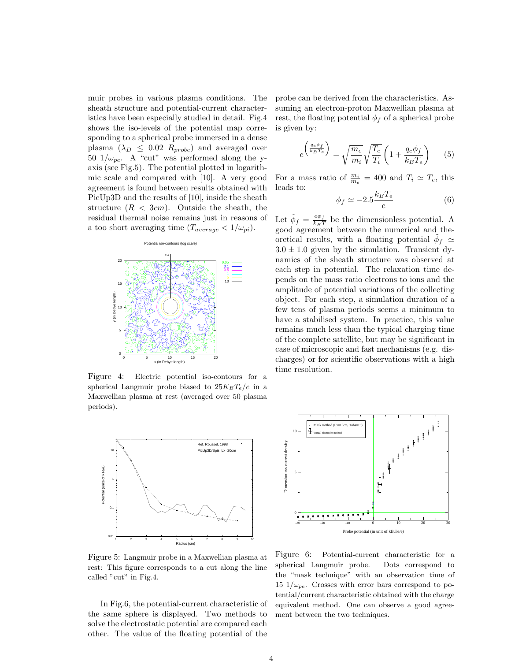muir probes in various plasma conditions. The sheath structure and potential-current characteristics have been especially studied in detail. Fig.4 shows the iso-levels of the potential map corresponding to a spherical probe immersed in a dense plasma  $(\lambda_D \leq 0.02 R_{probe})$  and averaged over 50  $1/\omega_{pe}$ . A "cut" was performed along the yaxis (see Fig.5). The potential plotted in logarithmic scale and compared with [10]. A very good agreement is found between results obtained with PicUp3D and the results of [10], inside the sheath structure  $(R < 3cm)$ . Outside the sheath, the residual thermal noise remains just in reasons of a too short averaging time  $(T_{average} < 1/\omega_{pi}).$ 



Figure 4: Electric potential iso-contours for a spherical Langmuir probe biased to  $25K_BT_e/e$  in a Maxwellian plasma at rest (averaged over 50 plasma periods).



Figure 5: Langmuir probe in a Maxwellian plasma at rest: This figure corresponds to a cut along the line called "cut" in Fig.4.

In Fig.6, the potential-current characteristic of the same sphere is displayed. Two methods to solve the electrostatic potential are compared each other. The value of the floating potential of the

probe can be derived from the characteristics. Assuming an electron-proton Maxwellian plasma at rest, the floating potential  $\phi_f$  of a spherical probe is given by:

$$
e^{\left(\frac{q_e \phi_f}{k_B T_e}\right)} = \sqrt{\frac{m_e}{m_i}} \sqrt{\frac{T_e}{T_i}} \left(1 + \frac{q_e \phi_f}{k_B T_e}\right) \tag{5}
$$

For a mass ratio of  $\frac{m_i}{m_e} = 400$  and  $T_i \simeq T_e$ , this leads to:

$$
\phi_f \simeq -2.5 \frac{k_B T_e}{e} \tag{6}
$$

Let  $\tilde{\phi}_f = \frac{e\phi_f}{k_B T}$  $\frac{e\varphi_f}{k_BT}$  be the dimensionless potential. A good agreement between the numerical and theoretical results, with a floating potential  $\tilde{\phi}_f$   $\simeq$  $3.0 \pm 1.0$  given by the simulation. Transient dynamics of the sheath structure was observed at each step in potential. The relaxation time depends on the mass ratio electrons to ions and the amplitude of potential variations of the collecting object. For each step, a simulation duration of a few tens of plasma periods seems a minimum to have a stabilised system. In practice, this value remains much less than the typical charging time of the complete satellite, but may be significant in case of microscopic and fast mechanisms (e.g. discharges) or for scientific observations with a high time resolution.



Figure 6: Potential-current characteristic for a spherical Langmuir probe. Dots correspond to the "mask technique" with an observation time of 15  $1/\omega_{pe}$ . Crosses with error bars correspond to potential/current characteristic obtained with the charge equivalent method. One can observe a good agreement between the two techniques.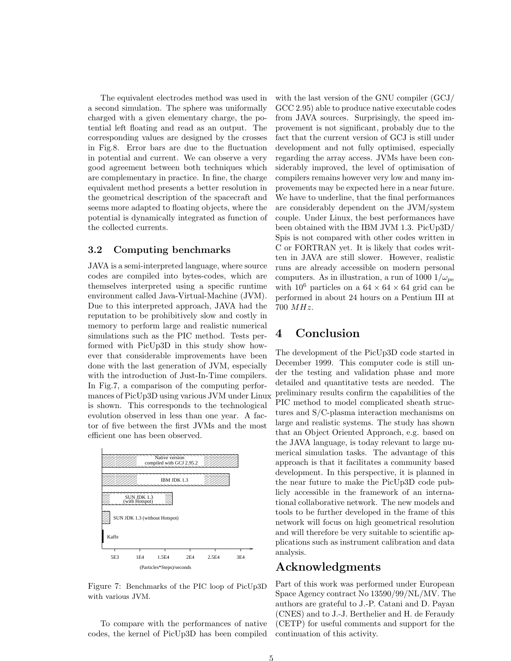The equivalent electrodes method was used in a second simulation. The sphere was uniformally charged with a given elementary charge, the potential left floating and read as an output. The corresponding values are designed by the crosses in Fig.8. Error bars are due to the fluctuation in potential and current. We can observe a very good agreement between both techniques which are complementary in practice. In fine, the charge equivalent method presents a better resolution in the geometrical description of the spacecraft and seems more adapted to floating objects, where the potential is dynamically integrated as function of the collected currents.

## 3.2 Computing benchmarks

JAVA is a semi-interpreted language, where source codes are compiled into bytes-codes, which are themselves interpreted using a specific runtime environment called Java-Virtual-Machine (JVM). Due to this interpreted approach, JAVA had the reputation to be prohibitively slow and costly in memory to perform large and realistic numerical simulations such as the PIC method. Tests performed with PicUp3D in this study show however that considerable improvements have been done with the last generation of JVM, especially with the introduction of Just-In-Time compilers. In Fig.7, a comparison of the computing performances of PicUp3D using various JVM under Linux is shown. This corresponds to the technological evolution observed in less than one year. A factor of five between the first JVMs and the most efficient one has been observed.



Figure 7: Benchmarks of the PIC loop of PicUp3D with various JVM.

To compare with the performances of native codes, the kernel of PicUp3D has been compiled with the last version of the GNU compiler (GCJ/ GCC 2.95) able to produce native executable codes from JAVA sources. Surprisingly, the speed improvement is not significant, probably due to the fact that the current version of GCJ is still under development and not fully optimised, especially regarding the array access. JVMs have been considerably improved, the level of optimisation of compilers remains however very low and many improvements may be expected here in a near future. We have to underline, that the final performances are considerably dependent on the JVM/system couple. Under Linux, the best performances have been obtained with the IBM JVM 1.3. PicUp3D/ Spis is not compared with other codes written in C or FORTRAN yet. It is likely that codes written in JAVA are still slower. However, realistic runs are already accessible on modern personal computers. As in illustration, a run of 1000  $1/\omega_{pe}$ with  $10^6$  particles on a  $64 \times 64 \times 64$  grid can be performed in about 24 hours on a Pentium III at 700 MHz.

## 4 Conclusion

licly accessible in the framework of an international collaborative network. The new models and approach is that it facilitates a community based  $t$  the near future to make the PicUp3D code pub-<br>the near future to make the PicUp3D code pubdevelopment. In this perspective, it is planned in The development of the PicUp3D code started in December 1999. This computer code is still under the testing and validation phase and more detailed and quantitative tests are needed. The preliminary results confirm the capabilities of the PIC method to model complicated sheath structures and S/C-plasma interaction mechanisms on large and realistic systems. The study has shown that an Object Oriented Approach, e.g. based on the JAVA language, is today relevant to large numerical simulation tasks. The advantage of this tools to be further developed in the frame of this network will focus on high geometrical resolution and will therefore be very suitable to scientific applications such as instrument calibration and data analysis.

# Acknowledgments

Part of this work was performed under European Space Agency contract No 13590/99/NL/MV. The authors are grateful to J.-P. Catani and D. Payan (CNES) and to J.-J. Berthelier and H. de Feraudy (CETP) for useful comments and support for the continuation of this activity.